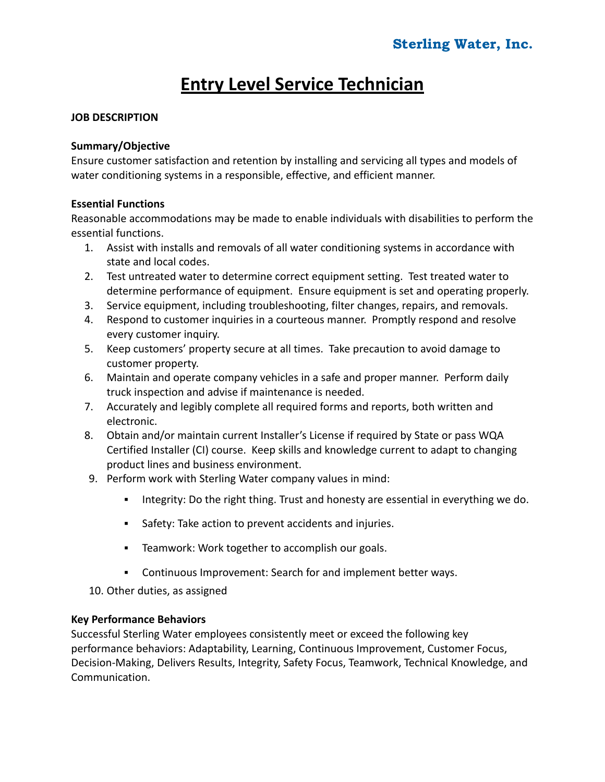# **Entry Level Service Technician**

# **JOB DESCRIPTION**

### **Summary/Objective**

Ensure customer satisfaction and retention by installing and servicing all types and models of water conditioning systems in a responsible, effective, and efficient manner.

# **Essential Functions**

Reasonable accommodations may be made to enable individuals with disabilities to perform the essential functions.

- 1. Assist with installs and removals of all water conditioning systems in accordance with state and local codes.
- 2. Test untreated water to determine correct equipment setting. Test treated water to determine performance of equipment. Ensure equipment is set and operating properly.
- 3. Service equipment, including troubleshooting, filter changes, repairs, and removals.
- 4. Respond to customer inquiries in a courteous manner. Promptly respond and resolve every customer inquiry.
- 5. Keep customers' property secure at all times. Take precaution to avoid damage to customer property.
- 6. Maintain and operate company vehicles in a safe and proper manner. Perform daily truck inspection and advise if maintenance is needed.
- 7. Accurately and legibly complete all required forms and reports, both written and electronic.
- 8. Obtain and/or maintain current Installer's License if required by State or pass WQA Certified Installer (CI) course. Keep skills and knowledge current to adapt to changing product lines and business environment.
- 9. Perform work with Sterling Water company values in mind:
	- **•** Integrity: Do the right thing. Trust and honesty are essential in everything we do.
	- Safety: Take action to prevent accidents and injuries.
	- Teamwork: Work together to accomplish our goals.
	- Continuous Improvement: Search for and implement better ways.
- 10. Other duties, as assigned

# **Key Performance Behaviors**

Successful Sterling Water employees consistently meet or exceed the following key performance behaviors: Adaptability, Learning, Continuous Improvement, Customer Focus, Decision-Making, Delivers Results, Integrity, Safety Focus, Teamwork, Technical Knowledge, and Communication.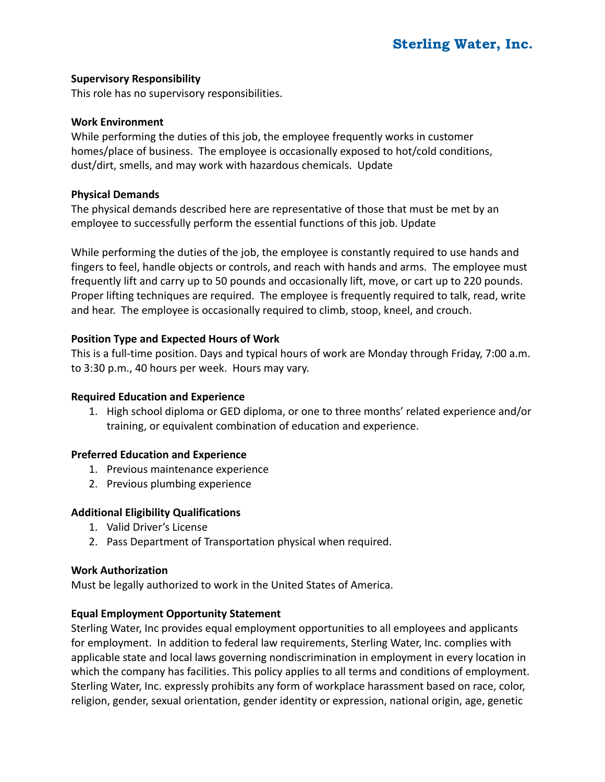### **Supervisory Responsibility**

This role has no supervisory responsibilities.

#### **Work Environment**

While performing the duties of this job, the employee frequently works in customer homes/place of business. The employee is occasionally exposed to hot/cold conditions, dust/dirt, smells, and may work with hazardous chemicals. Update

#### **Physical Demands**

The physical demands described here are representative of those that must be met by an employee to successfully perform the essential functions of this job. Update

While performing the duties of the job, the employee is constantly required to use hands and fingers to feel, handle objects or controls, and reach with hands and arms. The employee must frequently lift and carry up to 50 pounds and occasionally lift, move, or cart up to 220 pounds. Proper lifting techniques are required. The employee is frequently required to talk, read, write and hear. The employee is occasionally required to climb, stoop, kneel, and crouch.

### **Position Type and Expected Hours of Work**

This is a full-time position. Days and typical hours of work are Monday through Friday, 7:00 a.m. to 3:30 p.m., 40 hours per week. Hours may vary.

### **Required Education and Experience**

1. High school diploma or GED diploma, or one to three months' related experience and/or training, or equivalent combination of education and experience.

### **Preferred Education and Experience**

- 1. Previous maintenance experience
- 2. Previous plumbing experience

### **Additional Eligibility Qualifications**

- 1. Valid Driver's License
- 2. Pass Department of Transportation physical when required.

#### **Work Authorization**

Must be legally authorized to work in the United States of America.

### **Equal Employment Opportunity Statement**

Sterling Water, Inc provides equal employment opportunities to all employees and applicants for employment. In addition to federal law requirements, Sterling Water, Inc. complies with applicable state and local laws governing nondiscrimination in employment in every location in which the company has facilities. This policy applies to all terms and conditions of employment. Sterling Water, Inc. expressly prohibits any form of workplace harassment based on race, color, religion, gender, sexual orientation, gender identity or expression, national origin, age, genetic